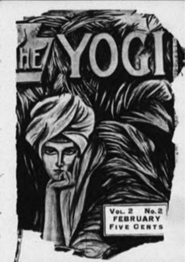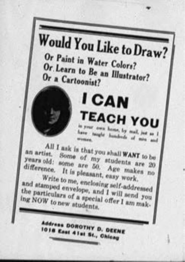**Would You Like to Draw?** Or Paint in Water Colors? Or Learn to Be an Illustrator? Or a Cartoonist?

**I CAN** 

**TEACH YOU** a your corn home, by mail, just as All I ask is that you shall WANT to be an artist. Some of my students are 20 years old; some are 50. Age makes no

difference. It is pleasant, easy work. Write to me, enclosing self-addressed and atamped envelope, and I will send you the particulars of a special offer I am making NOW to new atudents.

> Address DOROTHY D. DEENE 1018 East 41st St., Ohioan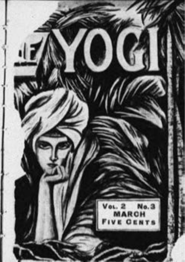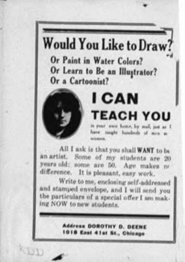## **Would You Like to Draw?** Or Paint in Water Colors? Or Learn to Be an Illustrator? Or a Cartoonist?



**CLOT** 

## **ICAN TEACH YOU** mer was home he will be

are cought bundeeds of men as

All I ask is that you shall WANT to be an artist. Some of my students are 20 years old; some are 50. Age makes no difference. It is pleasant, easy work.

Write to me, enclosing self-addressed and stamped envelope, and I will send you the particulars of a special offer I am making NOW to new students.

> **Address DOROTHY D. DEENE** 1018 East 41st St., Chicago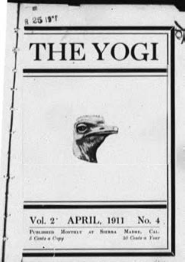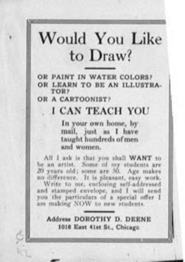# Would You Like to Draw?

OR PAINT IN WATER COLORS? OR LEARN TO BE AN ILLUSTRA-

OR A CARTOONIST?

#### I CAN TEACH YOU

In your own home, by mail, just as I have taught hundreds of men and women.

All I ask is that you shall WANT to lie an artist. Some of my students are 20 years old; some are 50. Age makes no difference. It is pleasant, easy work,

Write to me, enclosing self-addressed and stamped envelope, and I will send you the particulars of a special offer I am making NOW to new students.

Address DOROTHY D. DEENE 1018 East 41st St., Chicago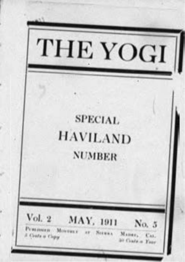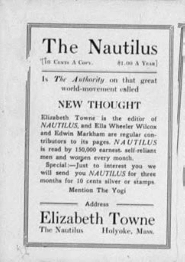#### The Nautilus TIG Cayn A Cory. 81.00 A Year]

Is The Authority on that great world-movement called

### **NEW THOUGHT**

Elizabeth Towne is the editor of NAUTILUS, and Ella Wheeler Wilcox and Edwin Markham are regular contributors to its pages. NAUTILUS is read by 150,000 earnest, self-reliant men and worgen every month.

Special:-Just to interest you we will send you NAUTILUS for three months for 10 cents silver or stamps.

Mention The Yogi

**Addres Elizabeth Towne** The Nautilus Holyoke, Mass.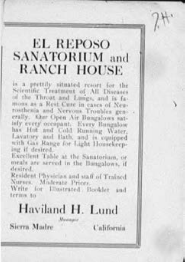## **EL REPOSO** SANATORIUM and **RANCH HOUSE**

is a prettile situated resort for the Scientific Treatment of All Diseases of the Throat and Lungs, and is famons as a Rest Cure in cases of Neurosthenia and Nervous Troubles generally. Shir Open Air Bungalows satisfy every occupant. Every Bangalow has Hot and Cold Running Water, Lavatory and Bath, and is compned with Gas Range for Light Housekeeping if desired

Excellent Table at the Sanatorium, or meals are served in the Bungalows, if dealers!

Resident Physician and staff of Trained Nurses, Moderate Prices.

Write for Illustrated Booklet terms to

# Haviland H. Lund

Sierra Madre

California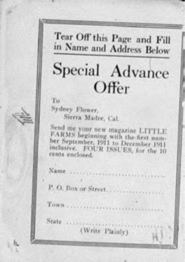Tear Off this Page and Fill in Name and Address Below

# Special Advance Offer

 $T_{\text{eff}}$ 

Sydney Flower. Sierra Madre, Cal.

Send me your new magazine LITTLE FARMS beginning with the first number Sentember, 1911 to December 1911 inclusive. FOUR ISSUES, for the 10 cents enclosed. 

(Write Plainly)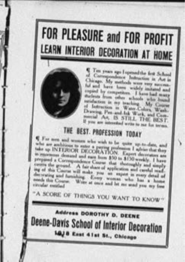# FOR PLEASURE and FOR PROFIT LEARN INTERIOR DECORATION AT HOME